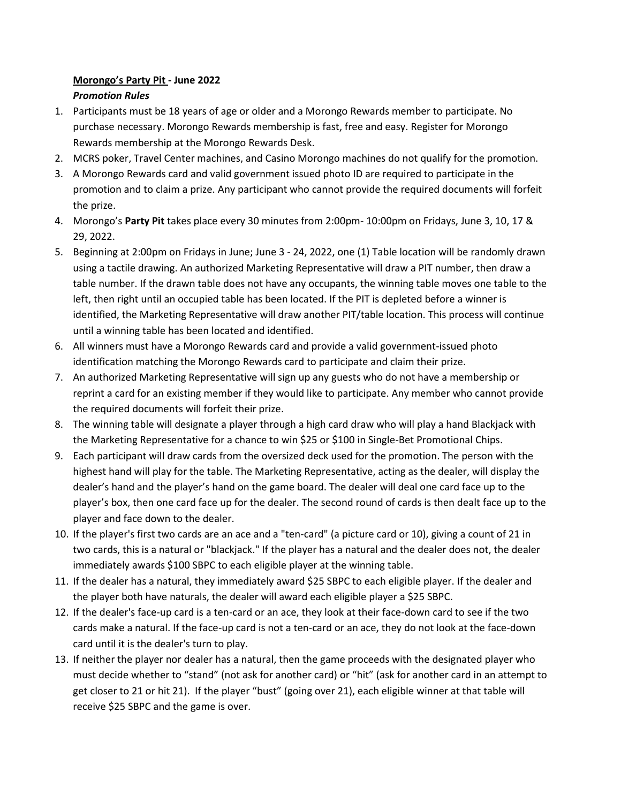## **Morongo's Party Pit - June 2022** *Promotion Rules*

- 1. Participants must be 18 years of age or older and a Morongo Rewards member to participate. No purchase necessary. Morongo Rewards membership is fast, free and easy. Register for Morongo Rewards membership at the Morongo Rewards Desk.
- 2. MCRS poker, Travel Center machines, and Casino Morongo machines do not qualify for the promotion.
- 3. A Morongo Rewards card and valid government issued photo ID are required to participate in the promotion and to claim a prize. Any participant who cannot provide the required documents will forfeit the prize.
- 4. Morongo's **Party Pit** takes place every 30 minutes from 2:00pm- 10:00pm on Fridays, June 3, 10, 17 & 29, 2022.
- 5. Beginning at 2:00pm on Fridays in June; June 3 24, 2022, one (1) Table location will be randomly drawn using a tactile drawing. An authorized Marketing Representative will draw a PIT number, then draw a table number. If the drawn table does not have any occupants, the winning table moves one table to the left, then right until an occupied table has been located. If the PIT is depleted before a winner is identified, the Marketing Representative will draw another PIT/table location. This process will continue until a winning table has been located and identified.
- 6. All winners must have a Morongo Rewards card and provide a valid government-issued photo identification matching the Morongo Rewards card to participate and claim their prize.
- 7. An authorized Marketing Representative will sign up any guests who do not have a membership or reprint a card for an existing member if they would like to participate. Any member who cannot provide the required documents will forfeit their prize.
- 8. The winning table will designate a player through a high card draw who will play a hand Blackjack with the Marketing Representative for a chance to win \$25 or \$100 in Single-Bet Promotional Chips.
- 9. Each participant will draw cards from the oversized deck used for the promotion. The person with the highest hand will play for the table. The Marketing Representative, acting as the dealer, will display the dealer's hand and the player's hand on the game board. The dealer will deal one card face up to the player's box, then one card face up for the dealer. The second round of cards is then dealt face up to the player and face down to the dealer.
- 10. If the player's first two cards are an ace and a "ten-card" (a picture card or 10), giving a count of 21 in two cards, this is a natural or "blackjack." If the player has a natural and the dealer does not, the dealer immediately awards \$100 SBPC to each eligible player at the winning table.
- 11. If the dealer has a natural, they immediately award \$25 SBPC to each eligible player. If the dealer and the player both have naturals, the dealer will award each eligible player a \$25 SBPC.
- 12. If the dealer's face-up card is a ten-card or an ace, they look at their face-down card to see if the two cards make a natural. If the face-up card is not a ten-card or an ace, they do not look at the face-down card until it is the dealer's turn to play.
- 13. If neither the player nor dealer has a natural, then the game proceeds with the designated player who must decide whether to "stand" (not ask for another card) or "hit" (ask for another card in an attempt to get closer to 21 or hit 21). If the player "bust" (going over 21), each eligible winner at that table will receive \$25 SBPC and the game is over.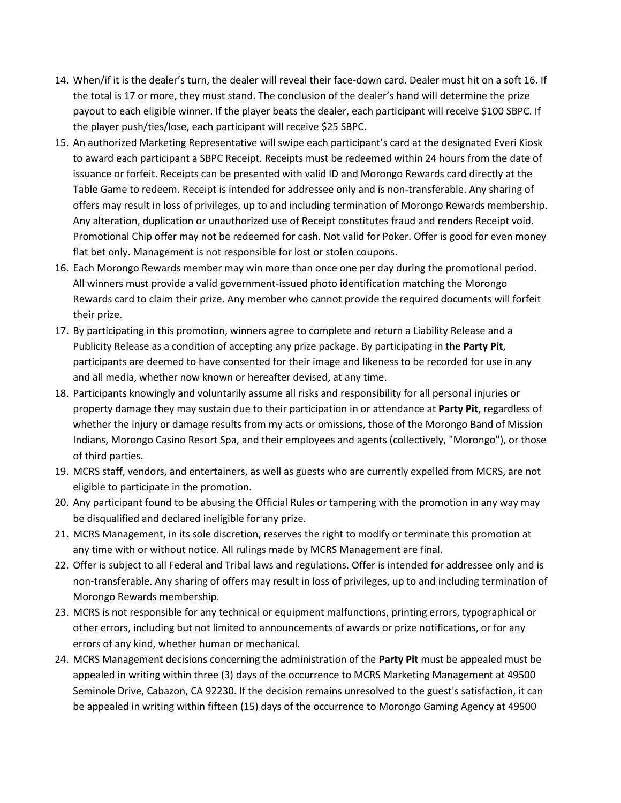- 14. When/if it is the dealer's turn, the dealer will reveal their face-down card. Dealer must hit on a soft 16. If the total is 17 or more, they must stand. The conclusion of the dealer's hand will determine the prize payout to each eligible winner. If the player beats the dealer, each participant will receive \$100 SBPC. If the player push/ties/lose, each participant will receive \$25 SBPC.
- 15. An authorized Marketing Representative will swipe each participant's card at the designated Everi Kiosk to award each participant a SBPC Receipt. Receipts must be redeemed within 24 hours from the date of issuance or forfeit. Receipts can be presented with valid ID and Morongo Rewards card directly at the Table Game to redeem. Receipt is intended for addressee only and is non-transferable. Any sharing of offers may result in loss of privileges, up to and including termination of Morongo Rewards membership. Any alteration, duplication or unauthorized use of Receipt constitutes fraud and renders Receipt void. Promotional Chip offer may not be redeemed for cash. Not valid for Poker. Offer is good for even money flat bet only. Management is not responsible for lost or stolen coupons.
- 16. Each Morongo Rewards member may win more than once one per day during the promotional period. All winners must provide a valid government-issued photo identification matching the Morongo Rewards card to claim their prize. Any member who cannot provide the required documents will forfeit their prize.
- 17. By participating in this promotion, winners agree to complete and return a Liability Release and a Publicity Release as a condition of accepting any prize package. By participating in the **Party Pit**, participants are deemed to have consented for their image and likeness to be recorded for use in any and all media, whether now known or hereafter devised, at any time.
- 18. Participants knowingly and voluntarily assume all risks and responsibility for all personal injuries or property damage they may sustain due to their participation in or attendance at **Party Pit**, regardless of whether the injury or damage results from my acts or omissions, those of the Morongo Band of Mission Indians, Morongo Casino Resort Spa, and their employees and agents (collectively, "Morongo"), or those of third parties.
- 19. MCRS staff, vendors, and entertainers, as well as guests who are currently expelled from MCRS, are not eligible to participate in the promotion.
- 20. Any participant found to be abusing the Official Rules or tampering with the promotion in any way may be disqualified and declared ineligible for any prize.
- 21. MCRS Management, in its sole discretion, reserves the right to modify or terminate this promotion at any time with or without notice. All rulings made by MCRS Management are final.
- 22. Offer is subject to all Federal and Tribal laws and regulations. Offer is intended for addressee only and is non-transferable. Any sharing of offers may result in loss of privileges, up to and including termination of Morongo Rewards membership.
- 23. MCRS is not responsible for any technical or equipment malfunctions, printing errors, typographical or other errors, including but not limited to announcements of awards or prize notifications, or for any errors of any kind, whether human or mechanical.
- 24. MCRS Management decisions concerning the administration of the **Party Pit** must be appealed must be appealed in writing within three (3) days of the occurrence to MCRS Marketing Management at 49500 Seminole Drive, Cabazon, CA 92230. If the decision remains unresolved to the guest's satisfaction, it can be appealed in writing within fifteen (15) days of the occurrence to Morongo Gaming Agency at 49500